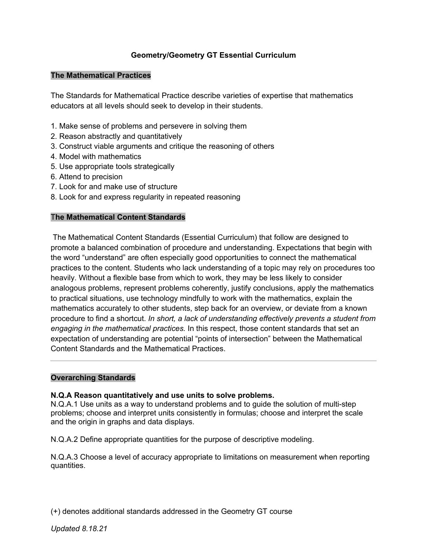## **Geometry/Geometry GT Essential Curriculum**

#### **The Mathematical Practices**

The Standards for Mathematical Practice describe varieties of expertise that mathematics educators at all levels should seek to develop in their students.

- 1. Make sense of problems and persevere in solving them
- 2. Reason abstractly and quantitatively
- 3. Construct viable arguments and critique the reasoning of others
- 4. Model with mathematics
- 5. Use appropriate tools strategically
- 6. Attend to precision
- 7. Look for and make use of structure
- 8. Look for and express regularity in repeated reasoning

### T**he Mathematical Content Standards**

The Mathematical Content Standards (Essential Curriculum) that follow are designed to promote a balanced combination of procedure and understanding. Expectations that begin with the word "understand" are often especially good opportunities to connect the mathematical practices to the content. Students who lack understanding of a topic may rely on procedures too heavily. Without a flexible base from which to work, they may be less likely to consider analogous problems, represent problems coherently, justify conclusions, apply the mathematics to practical situations, use technology mindfully to work with the mathematics, explain the mathematics accurately to other students, step back for an overview, or deviate from a known procedure to find a shortcut. *In short, a lack of understanding effectively prevents a student from engaging in the mathematical practices.* In this respect, those content standards that set an expectation of understanding are potential "points of intersection" between the Mathematical Content Standards and the Mathematical Practices.

### **Overarching Standards**

### **N.Q.A Reason quantitatively and use units to solve problems.**

N.Q.A.1 Use units as a way to understand problems and to guide the solution of multi-step problems; choose and interpret units consistently in formulas; choose and interpret the scale and the origin in graphs and data displays.

N.Q.A.2 Define appropriate quantities for the purpose of descriptive modeling.

N.Q.A.3 Choose a level of accuracy appropriate to limitations on measurement when reporting quantities.

(+) denotes additional standards addressed in the Geometry GT course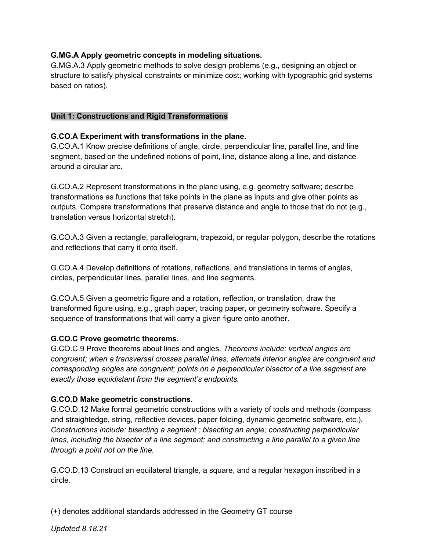## **G.MG.A Apply geometric concepts in modeling situations.**

G.MG.A.3 Apply geometric methods to solve design problems (e.g., designing an object or structure to satisfy physical constraints or minimize cost; working with typographic grid systems based on ratios).

### **Unit 1: Constructions and Rigid Transformations**

### **G.CO.A Experiment with transformations in the plane.**

G.CO.A.1 Know precise definitions of angle, circle, perpendicular line, parallel line, and line segment, based on the undefined notions of point, line, distance along a line, and distance around a circular arc.

G.CO.A.2 Represent transformations in the plane using, e.g. geometry software; describe transformations as functions that take points in the plane as inputs and give other points as outputs. Compare transformations that preserve distance and angle to those that do not (e.g., translation versus horizontal stretch).

G.CO.A.3 Given a rectangle, parallelogram, trapezoid, or regular polygon, describe the rotations and reflections that carry it onto itself.

G.CO.A.4 Develop definitions of rotations, reflections, and translations in terms of angles, circles, perpendicular lines, parallel lines, and line segments.

G.CO.A.5 Given a geometric figure and a rotation, reflection, or translation, draw the transformed figure using, e.g., graph paper, tracing paper, or geometry software. Specify a sequence of transformations that will carry a given figure onto another.

### **G.CO.C Prove geometric theorems.**

G.CO.C.9 Prove theorems about lines and angles. *Theorems include: vertical angles are congruent; when a transversal crosses parallel lines, alternate interior angles are congruent and corresponding angles are congruent; points on a perpendicular bisector of a line segment are exactly those equidistant from the segment's endpoints.*

### **G.CO.D Make geometric constructions.**

G.CO.D.12 Make formal geometric constructions with a variety of tools and methods (compass and straightedge, string, reflective devices, paper folding, dynamic geometric software, etc.). *Constructions include: bisecting a segment ; bisecting an angle; constructing perpendicular lines, including the bisector of a line segment; and constructing a line parallel to a given line through a point not on the line.* 

G.CO.D.13 Construct an equilateral triangle, a square, and a regular hexagon inscribed in a circle.

(+) denotes additional standards addressed in the Geometry GT course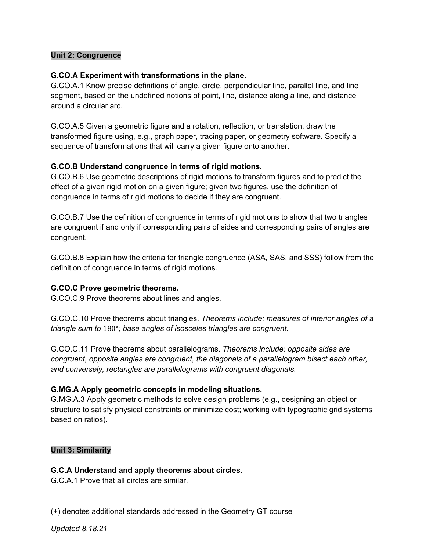### **Unit 2: Congruence**

#### **G.CO.A Experiment with transformations in the plane.**

G.CO.A.1 Know precise definitions of angle, circle, perpendicular line, parallel line, and line segment, based on the undefined notions of point, line, distance along a line, and distance around a circular arc.

G.CO.A.5 Given a geometric figure and a rotation, reflection, or translation, draw the transformed figure using, e.g., graph paper, tracing paper, or geometry software. Specify a sequence of transformations that will carry a given figure onto another.

### **G.CO.B Understand congruence in terms of rigid motions.**

G.CO.B.6 Use geometric descriptions of rigid motions to transform figures and to predict the effect of a given rigid motion on a given figure; given two figures, use the definition of congruence in terms of rigid motions to decide if they are congruent.

G.CO.B.7 Use the definition of congruence in terms of rigid motions to show that two triangles are congruent if and only if corresponding pairs of sides and corresponding pairs of angles are congruent.

G.CO.B.8 Explain how the criteria for triangle congruence (ASA, SAS, and SSS) follow from the definition of congruence in terms of rigid motions.

#### **G.CO.C Prove geometric theorems.**

G.CO.C.9 Prove theorems about lines and angles.

G.CO.C.10 Prove theorems about triangles. *Theorems include: measures of interior angles of a triangle sum to* 180∘ *; base angles of isosceles triangles are congruent.*

G.CO.C.11 Prove theorems about parallelograms. *Theorems include: opposite sides are congruent, opposite angles are congruent, the diagonals of a parallelogram bisect each other, and conversely, rectangles are parallelograms with congruent diagonals.*

### **G.MG.A Apply geometric concepts in modeling situations.**

G.MG.A.3 Apply geometric methods to solve design problems (e.g., designing an object or structure to satisfy physical constraints or minimize cost; working with typographic grid systems based on ratios).

#### **Unit 3: Similarity**

### **G.C.A Understand and apply theorems about circles.**

G.C.A.1 Prove that all circles are similar.

(+) denotes additional standards addressed in the Geometry GT course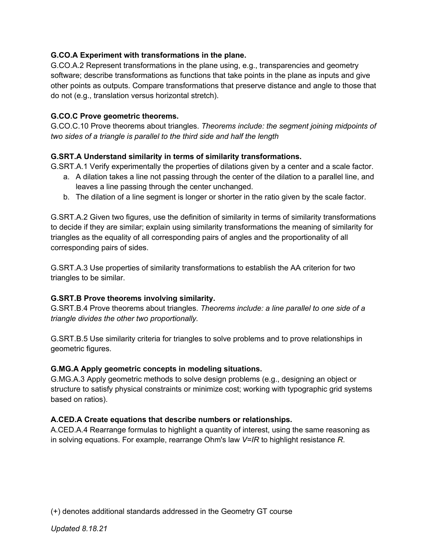## **G.CO.A Experiment with transformations in the plane.**

G.CO.A.2 Represent transformations in the plane using, e.g., transparencies and geometry software; describe transformations as functions that take points in the plane as inputs and give other points as outputs. Compare transformations that preserve distance and angle to those that do not (e.g., translation versus horizontal stretch).

### **G.CO.C Prove geometric theorems.**

G.CO.C.10 Prove theorems about triangles. *Theorems include: the segment joining midpoints of two sides of a triangle is parallel to the third side and half the length*

## **G.SRT.A Understand similarity in terms of similarity transformations.**

G.SRT.A.1 Verify experimentally the properties of dilations given by a center and a scale factor.

- a. A dilation takes a line not passing through the center of the dilation to a parallel line, and leaves a line passing through the center unchanged.
- b. The dilation of a line segment is longer or shorter in the ratio given by the scale factor.

G.SRT.A.2 Given two figures, use the definition of similarity in terms of similarity transformations to decide if they are similar; explain using similarity transformations the meaning of similarity for triangles as the equality of all corresponding pairs of angles and the proportionality of all corresponding pairs of sides.

G.SRT.A.3 Use properties of similarity transformations to establish the AA criterion for two triangles to be similar.

### **G.SRT.B Prove theorems involving similarity.**

G.SRT.B.4 Prove theorems about triangles. *Theorems include: a line parallel to one side of a triangle divides the other two proportionally.*

G.SRT.B.5 Use similarity criteria for triangles to solve problems and to prove relationships in geometric figures.

### **G.MG.A Apply geometric concepts in modeling situations.**

G.MG.A.3 Apply geometric methods to solve design problems (e.g., designing an object or structure to satisfy physical constraints or minimize cost; working with typographic grid systems based on ratios).

# **A.CED.A Create equations that describe numbers or relationships.**

A.CED.A.4 Rearrange formulas to highlight a quantity of interest, using the same reasoning as in solving equations. For example, rearrange Ohm's law *V=IR* to highlight resistance *R*.

(+) denotes additional standards addressed in the Geometry GT course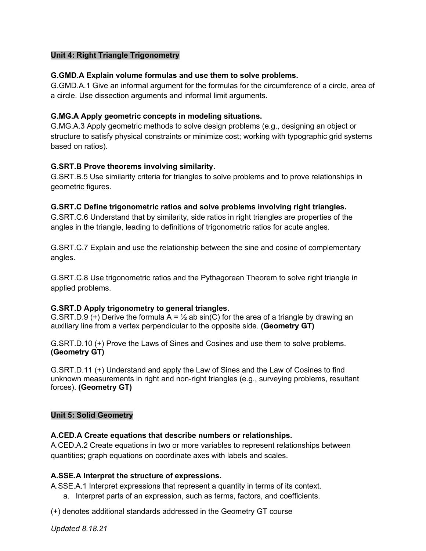### **Unit 4: Right Triangle Trigonometry**

### **G.GMD.A Explain volume formulas and use them to solve problems.**

G.GMD.A.1 Give an informal argument for the formulas for the circumference of a circle, area of a circle. Use dissection arguments and informal limit arguments.

## **G.MG.A Apply geometric concepts in modeling situations.**

G.MG.A.3 Apply geometric methods to solve design problems (e.g., designing an object or structure to satisfy physical constraints or minimize cost; working with typographic grid systems based on ratios).

# **G.SRT.B Prove theorems involving similarity.**

G.SRT.B.5 Use similarity criteria for triangles to solve problems and to prove relationships in geometric figures.

## **G.SRT.C Define trigonometric ratios and solve problems involving right triangles.**

G.SRT.C.6 Understand that by similarity, side ratios in right triangles are properties of the angles in the triangle, leading to definitions of trigonometric ratios for acute angles.

G.SRT.C.7 Explain and use the relationship between the sine and cosine of complementary angles.

G.SRT.C.8 Use trigonometric ratios and the Pythagorean Theorem to solve right triangle in applied problems.

### **G.SRT.D Apply trigonometry to general triangles.**

G.SRT.D.9 (+) Derive the formula  $A = \frac{1}{2}$  ab sin(C) for the area of a triangle by drawing an auxiliary line from a vertex perpendicular to the opposite side. **(Geometry GT)**

G.SRT.D.10 (+) Prove the Laws of Sines and Cosines and use them to solve problems. **(Geometry GT)**

G.SRT.D.11 (+) Understand and apply the Law of Sines and the Law of Cosines to find unknown measurements in right and non-right triangles (e.g., surveying problems, resultant forces). **(Geometry GT)**

### **Unit 5: Solid Geometry**

### **A.CED.A Create equations that describe numbers or relationships.**

A.CED.A.2 Create equations in two or more variables to represent relationships between quantities; graph equations on coordinate axes with labels and scales.

# **A.SSE.A Interpret the structure of expressions.**

A.SSE.A.1 Interpret expressions that represent a quantity in terms of its context.

a. Interpret parts of an expression, such as terms, factors, and coefficients.

(+) denotes additional standards addressed in the Geometry GT course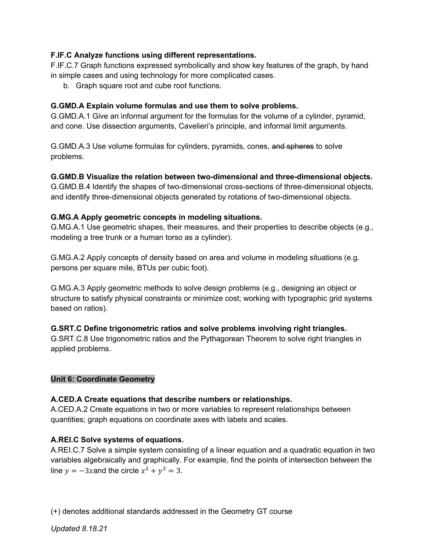## **F.IF.C Analyze functions using different representations.**

F.IF.C.7 Graph functions expressed symbolically and show key features of the graph, by hand in simple cases and using technology for more complicated cases.

b. Graph square root and cube root functions.

## **G.GMD.A Explain volume formulas and use them to solve problems.**

G.GMD.A.1 Give an informal argument for the formulas for the volume of a cylinder, pyramid, and cone. Use dissection arguments, Cavelieri's principle, and informal limit arguments.

G.GMD.A.3 Use volume formulas for cylinders, pyramids, cones, and spheres to solve problems.

### **G.GMD.B Visualize the relation between two-dimensional and three-dimensional objects.**

G.GMD.B.4 Identify the shapes of two-dimensional cross-sections of three-dimensional objects, and identify three-dimensional objects generated by rotations of two-dimensional objects.

## **G.MG.A Apply geometric concepts in modeling situations.**

G.MG.A.1 Use geometric shapes, their measures, and their properties to describe objects (e.g., modeling a tree trunk or a human torso as a cylinder).

G.MG.A.2 Apply concepts of density based on area and volume in modeling situations (e.g. persons per square mile, BTUs per cubic foot).

G.MG.A.3 Apply geometric methods to solve design problems (e.g., designing an object or structure to satisfy physical constraints or minimize cost; working with typographic grid systems based on ratios).

# **G.SRT.C Define trigonometric ratios and solve problems involving right triangles.**

G.SRT.C.8 Use trigonometric ratios and the Pythagorean Theorem to solve right triangles in applied problems.

### **Unit 6: Coordinate Geometry**

### **A.CED.A Create equations that describe numbers or relationships.**

A.CED.A.2 Create equations in two or more variables to represent relationships between quantities; graph equations on coordinate axes with labels and scales.

### **A.REI.C Solve systems of equations.**

A.REI.C.7 Solve a simple system consisting of a linear equation and a quadratic equation in two variables algebraically and graphically. For example, find the points of intersection between the line  $y = -3x$  and the circle  $x^2 + y^2 = 3$ .

(+) denotes additional standards addressed in the Geometry GT course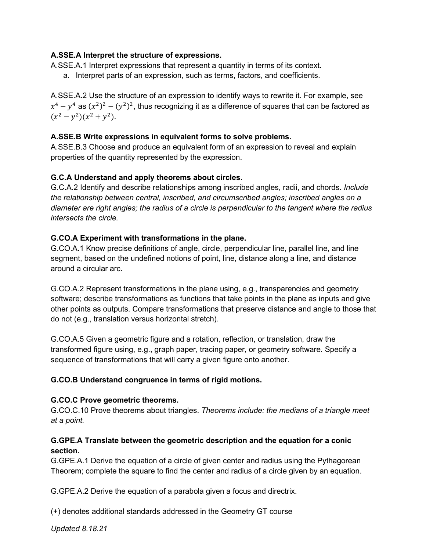## **A.SSE.A Interpret the structure of expressions.**

A.SSE.A.1 Interpret expressions that represent a quantity in terms of its context.

a. Interpret parts of an expression, such as terms, factors, and coefficients.

A.SSE.A.2 Use the structure of an expression to identify ways to rewrite it. For example, see  $x^4 - y^4$  as  $(x^2)^2 - (y^2)^2$ , thus recognizing it as a difference of squares that can be factored as  $(x^2 - y^2)(x^2 + y^2)$ .

#### **A.SSE.B Write expressions in equivalent forms to solve problems.**

A.SSE.B.3 Choose and produce an equivalent form of an expression to reveal and explain properties of the quantity represented by the expression.

### **G.C.A Understand and apply theorems about circles.**

G.C.A.2 Identify and describe relationships among inscribed angles, radii, and chords. *Include the relationship between central, inscribed, and circumscribed angles; inscribed angles on a diameter are right angles; the radius of a circle is perpendicular to the tangent where the radius intersects the circle.* 

### **G.CO.A Experiment with transformations in the plane.**

G.CO.A.1 Know precise definitions of angle, circle, perpendicular line, parallel line, and line segment, based on the undefined notions of point, line, distance along a line, and distance around a circular arc.

G.CO.A.2 Represent transformations in the plane using, e.g., transparencies and geometry software; describe transformations as functions that take points in the plane as inputs and give other points as outputs. Compare transformations that preserve distance and angle to those that do not (e.g., translation versus horizontal stretch).

G.CO.A.5 Given a geometric figure and a rotation, reflection, or translation, draw the transformed figure using, e.g., graph paper, tracing paper, or geometry software. Specify a sequence of transformations that will carry a given figure onto another.

### **G.CO.B Understand congruence in terms of rigid motions.**

#### **G.CO.C Prove geometric theorems.**

G.CO.C.10 Prove theorems about triangles. *Theorems include: the medians of a triangle meet at a point.*

## **G.GPE.A Translate between the geometric description and the equation for a conic section.**

G.GPE.A.1 Derive the equation of a circle of given center and radius using the Pythagorean Theorem; complete the square to find the center and radius of a circle given by an equation.

G.GPE.A.2 Derive the equation of a parabola given a focus and directrix.

(+) denotes additional standards addressed in the Geometry GT course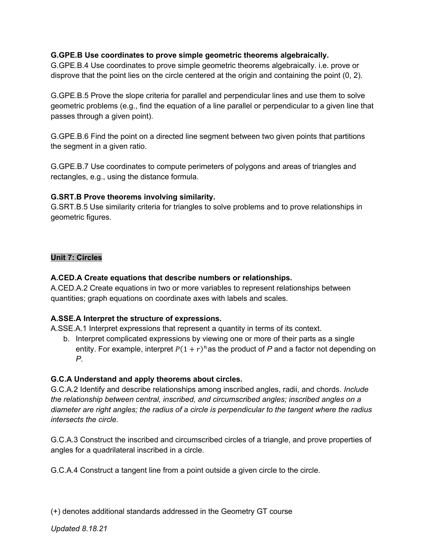## **G.GPE.B Use coordinates to prove simple geometric theorems algebraically.**

G.GPE.B.4 Use coordinates to prove simple geometric theorems algebraically. i.e. prove or disprove that the point lies on the circle centered at the origin and containing the point (0, 2).

G.GPE.B.5 Prove the slope criteria for parallel and perpendicular lines and use them to solve geometric problems (e.g., find the equation of a line parallel or perpendicular to a given line that passes through a given point).

G.GPE.B.6 Find the point on a directed line segment between two given points that partitions the segment in a given ratio.

G.GPE.B.7 Use coordinates to compute perimeters of polygons and areas of triangles and rectangles, e.g., using the distance formula.

## **G.SRT.B Prove theorems involving similarity.**

G.SRT.B.5 Use similarity criteria for triangles to solve problems and to prove relationships in geometric figures.

## **Unit 7: Circles**

### **A.CED.A Create equations that describe numbers or relationships.**

A.CED.A.2 Create equations in two or more variables to represent relationships between quantities; graph equations on coordinate axes with labels and scales.

### **A.SSE.A Interpret the structure of expressions.**

A.SSE.A.1 Interpret expressions that represent a quantity in terms of its context.

b. Interpret complicated expressions by viewing one or more of their parts as a single entity. For example, interpret  $P(1 + r)^n$  as the product of *P* and a factor not depending on *P*.

### **G.C.A Understand and apply theorems about circles.**

G.C.A.2 Identify and describe relationships among inscribed angles, radii, and chords. *Include the relationship between central, inscribed, and circumscribed angles; inscribed angles on a diameter are right angles; the radius of a circle is perpendicular to the tangent where the radius intersects the circle.* 

G.C.A.3 Construct the inscribed and circumscribed circles of a triangle, and prove properties of angles for a quadrilateral inscribed in a circle.

G.C.A.4 Construct a tangent line from a point outside a given circle to the circle.

(+) denotes additional standards addressed in the Geometry GT course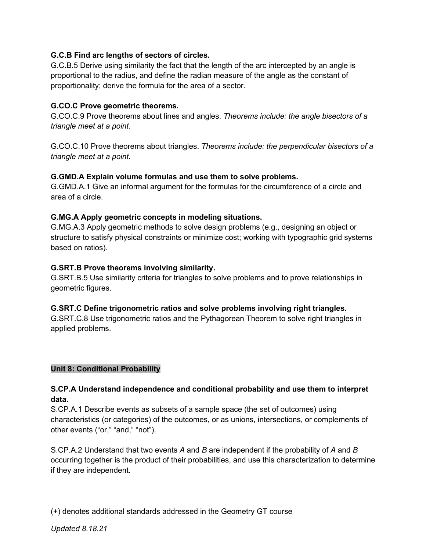## **G.C.B Find arc lengths of sectors of circles.**

G.C.B.5 Derive using similarity the fact that the length of the arc intercepted by an angle is proportional to the radius, and define the radian measure of the angle as the constant of proportionality; derive the formula for the area of a sector.

### **G.CO.C Prove geometric theorems.**

G.CO.C.9 Prove theorems about lines and angles. *Theorems include: the angle bisectors of a triangle meet at a point.*

G.CO.C.10 Prove theorems about triangles. *Theorems include: the perpendicular bisectors of a triangle meet at a point.*

### **G.GMD.A Explain volume formulas and use them to solve problems.**

G.GMD.A.1 Give an informal argument for the formulas for the circumference of a circle and area of a circle.

## **G.MG.A Apply geometric concepts in modeling situations.**

G.MG.A.3 Apply geometric methods to solve design problems (e.g., designing an object or structure to satisfy physical constraints or minimize cost; working with typographic grid systems based on ratios).

## **G.SRT.B Prove theorems involving similarity.**

G.SRT.B.5 Use similarity criteria for triangles to solve problems and to prove relationships in geometric figures.

### **G.SRT.C Define trigonometric ratios and solve problems involving right triangles.**

G.SRT.C.8 Use trigonometric ratios and the Pythagorean Theorem to solve right triangles in applied problems.

### **Unit 8: Conditional Probability**

## **S.CP.A Understand independence and conditional probability and use them to interpret data.**

S.CP.A.1 Describe events as subsets of a sample space (the set of outcomes) using characteristics (or categories) of the outcomes, or as unions, intersections, or complements of other events ("or," "and," "not").

S.CP.A.2 Understand that two events *A* and *B* are independent if the probability of *A* and *B* occurring together is the product of their probabilities, and use this characterization to determine if they are independent.

(+) denotes additional standards addressed in the Geometry GT course